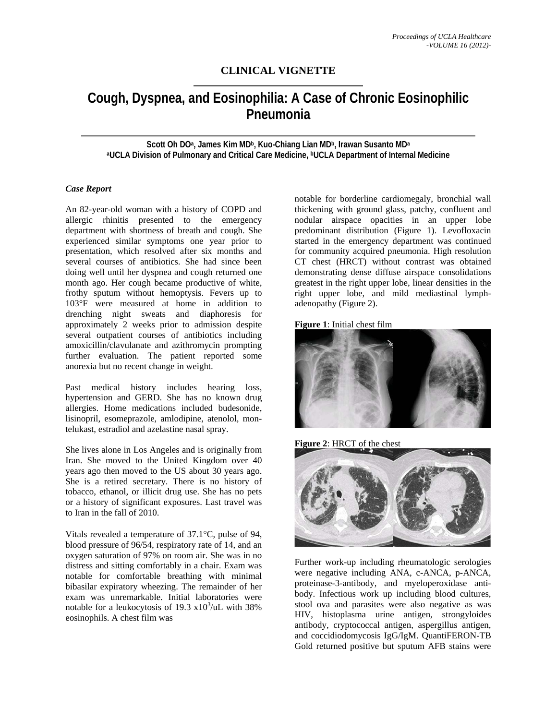## **CLINICAL VIGNETTE**

# **Cough, Dyspnea, and Eosinophilia: A Case of Chronic Eosinophilic Pneumonia**

**Scott Oh DOa, James Kim MDb, Kuo-Chiang Lian MDb, Irawan Susanto MDa**  aUCLA Division of Pulmonary and Critical Care Medicine, <sup>b</sup>UCLA Department of Internal Medicine

### *Case Report*

An 82-year-old woman with a history of COPD and allergic rhinitis presented to the emergency department with shortness of breath and cough. She experienced similar symptoms one year prior to presentation, which resolved after six months and several courses of antibiotics. She had since been doing well until her dyspnea and cough returned one month ago. Her cough became productive of white, frothy sputum without hemoptysis. Fevers up to 103°F were measured at home in addition to drenching night sweats and diaphoresis for approximately 2 weeks prior to admission despite several outpatient courses of antibiotics including amoxicillin/clavulanate and azithromycin prompting further evaluation. The patient reported some anorexia but no recent change in weight.

Past medical history includes hearing loss, hypertension and GERD. She has no known drug allergies. Home medications included budesonide, lisinopril, esomeprazole, amlodipine, atenolol, montelukast, estradiol and azelastine nasal spray.

She lives alone in Los Angeles and is originally from Iran. She moved to the United Kingdom over 40 years ago then moved to the US about 30 years ago. She is a retired secretary. There is no history of tobacco, ethanol, or illicit drug use. She has no pets or a history of significant exposures. Last travel was to Iran in the fall of 2010.

Vitals revealed a temperature of 37.1°C, pulse of 94, blood pressure of 96/54, respiratory rate of 14, and an oxygen saturation of 97% on room air. She was in no distress and sitting comfortably in a chair. Exam was notable for comfortable breathing with minimal bibasilar expiratory wheezing. The remainder of her exam was unremarkable. Initial laboratories were notable for a leukocytosis of 19.3  $x10^3$ /uL with 38% eosinophils. A chest film was

notable for borderline cardiomegaly, bronchial wall thickening with ground glass, patchy, confluent and nodular airspace opacities in an upper lobe predominant distribution (Figure 1). Levofloxacin started in the emergency department was continued for community acquired pneumonia. High resolution CT chest (HRCT) without contrast was obtained demonstrating dense diffuse airspace consolidations greatest in the right upper lobe, linear densities in the right upper lobe, and mild mediastinal lymphadenopathy (Figure 2).





**Figure 2**: HRCT of the chest



Further work-up including rheumatologic serologies were negative including ANA, c-ANCA, p-ANCA, proteinase-3-antibody, and myeloperoxidase antibody. Infectious work up including blood cultures, stool ova and parasites were also negative as was HIV, histoplasma urine antigen, strongyloides antibody, cryptococcal antigen, aspergillus antigen, and coccidiodomycosis IgG/IgM. QuantiFERON-TB Gold returned positive but sputum AFB stains were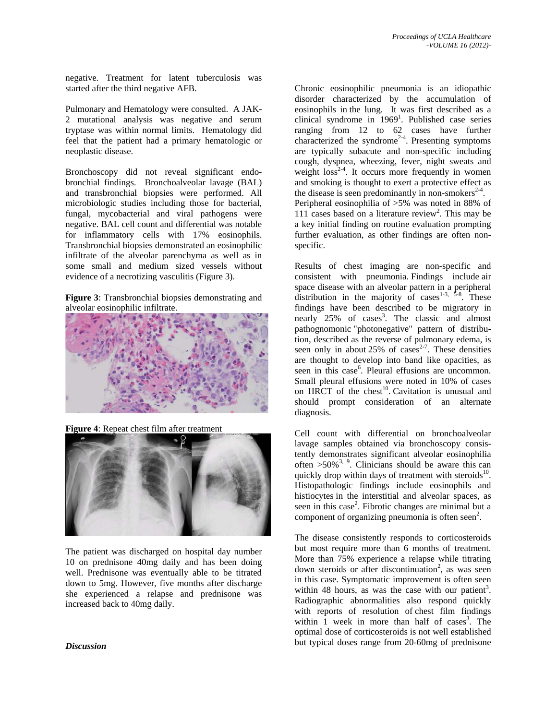negative. Treatment for latent tuberculosis was started after the third negative AFB.

Pulmonary and Hematology were consulted. A JAK-2 mutational analysis was negative and serum tryptase was within normal limits. Hematology did feel that the patient had a primary hematologic or neoplastic disease.

Bronchoscopy did not reveal significant endobronchial findings. Bronchoalveolar lavage (BAL) and transbronchial biopsies were performed. All microbiologic studies including those for bacterial, fungal, mycobacterial and viral pathogens were negative. BAL cell count and differential was notable for inflammatory cells with 17% eosinophils. Transbronchial biopsies demonstrated an eosinophilic infiltrate of the alveolar parenchyma as well as in some small and medium sized vessels without evidence of a necrotizing vasculitis (Figure 3).

**Figure 3**: Transbronchial biopsies demonstrating and alveolar eosinophilic infiltrate.



**Figure 4**: Repeat chest film after treatment



The patient was discharged on hospital day number 10 on prednisone 40mg daily and has been doing well. Prednisone was eventually able to be titrated down to 5mg. However, five months after discharge she experienced a relapse and prednisone was increased back to 40mg daily.

#### *Discussion*

Chronic eosinophilic pneumonia is an idiopathic disorder characterized by the accumulation of eosinophils in the lung. It was first described as a clinical syndrome in  $1969<sup>1</sup>$ . Published case series ranging from 12 to 62 cases have further characterized the syndrome<sup>2-4</sup>. Presenting symptoms are typically subacute and non-specific including cough, dyspnea, wheezing, fever, night sweats and weight  $loss<sup>2-4</sup>$ . It occurs more frequently in women and smoking is thought to exert a protective effect as the disease is seen predominantly in non-smokers<sup>2-4</sup>. Peripheral eosinophilia of >5% was noted in 88% of 111 cases based on a literature review<sup>2</sup>. This may be a key initial finding on routine evaluation prompting

further evaluation, as other findings are often non-

specific.

Results of chest imaging are non-specific and consistent with pneumonia. Findings include air space disease with an alveolar pattern in a peripheral distribution in the majority of cases<sup>1-3, 5-8</sup>. These findings have been described to be migratory in nearly 25% of cases<sup>3</sup>. The classic and almost pathognomonic "photonegative" pattern of distribution, described as the reverse of pulmonary edema, is seen only in about 25% of cases<sup>2-7</sup>. These densities are thought to develop into band like opacities, as seen in this case<sup>6</sup>. Pleural effusions are uncommon. Small pleural effusions were noted in 10% of cases on HRCT of the chest<sup>10</sup>. Cavitation is unusual and should prompt consideration of an alternate diagnosis.

Cell count with differential on bronchoalveolar lavage samples obtained via bronchoscopy consistently demonstrates significant alveolar eosinophilia often  $>50\%$ <sup>3, 9</sup>. Clinicians should be aware this can quickly drop within days of treatment with steroids<sup>10</sup>. Histopathologic findings include eosinophils and histiocytes in the interstitial and alveolar spaces, as seen in this case<sup>2</sup>. Fibrotic changes are minimal but a component of organizing pneumonia is often seen<sup>2</sup>.

The disease consistently responds to corticosteroids but most require more than 6 months of treatment. More than 75% experience a relapse while titrating down steroids or after discontinuation<sup>2</sup>, as was seen in this case. Symptomatic improvement is often seen within 48 hours, as was the case with our patient<sup>3</sup>. Radiographic abnormalities also respond quickly with reports of resolution of chest film findings within  $\overline{1}$  week in more than half of cases<sup>3</sup>. The optimal dose of corticosteroids is not well established but typical doses range from 20-60mg of prednisone